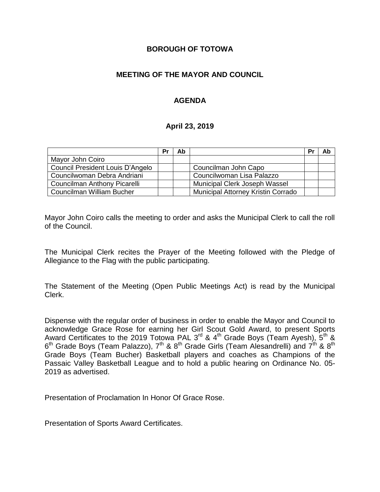#### **BOROUGH OF TOTOWA**

### **MEETING OF THE MAYOR AND COUNCIL**

### **AGENDA**

#### **April 23, 2019**

|                                  | Pr | Ab |                                    | Pr | Ab |
|----------------------------------|----|----|------------------------------------|----|----|
| Mayor John Coiro                 |    |    |                                    |    |    |
| Council President Louis D'Angelo |    |    | Councilman John Capo               |    |    |
| Councilwoman Debra Andriani      |    |    | Councilwoman Lisa Palazzo          |    |    |
| Councilman Anthony Picarelli     |    |    | Municipal Clerk Joseph Wassel      |    |    |
| Councilman William Bucher        |    |    | Municipal Attorney Kristin Corrado |    |    |

Mayor John Coiro calls the meeting to order and asks the Municipal Clerk to call the roll of the Council.

The Municipal Clerk recites the Prayer of the Meeting followed with the Pledge of Allegiance to the Flag with the public participating.

The Statement of the Meeting (Open Public Meetings Act) is read by the Municipal Clerk.

Dispense with the regular order of business in order to enable the Mayor and Council to acknowledge Grace Rose for earning her Girl Scout Gold Award, to present Sports Award Certificates to the 2019 Totowa PAL 3<sup>rd</sup> & 4<sup>th</sup> Grade Boys (Team Ayesh), 5<sup>th</sup> &  $6^{\text{th}}$  Grade Boys (Team Palazzo), 7<sup>th</sup> & 8<sup>th</sup> Grade Girls (Team Alesandrelli) and 7<sup>th</sup> & 8<sup>th</sup> Grade Boys (Team Bucher) Basketball players and coaches as Champions of the Passaic Valley Basketball League and to hold a public hearing on Ordinance No. 05- 2019 as advertised.

Presentation of Proclamation In Honor Of Grace Rose.

Presentation of Sports Award Certificates.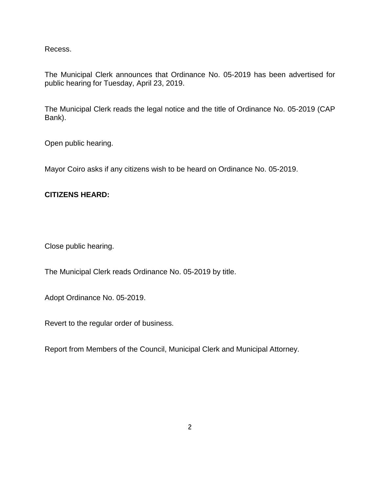Recess.

The Municipal Clerk announces that Ordinance No. 05-2019 has been advertised for public hearing for Tuesday, April 23, 2019.

The Municipal Clerk reads the legal notice and the title of Ordinance No. 05-2019 (CAP Bank).

Open public hearing.

Mayor Coiro asks if any citizens wish to be heard on Ordinance No. 05-2019.

#### **CITIZENS HEARD:**

Close public hearing.

The Municipal Clerk reads Ordinance No. 05-2019 by title.

Adopt Ordinance No. 05-2019.

Revert to the regular order of business.

Report from Members of the Council, Municipal Clerk and Municipal Attorney.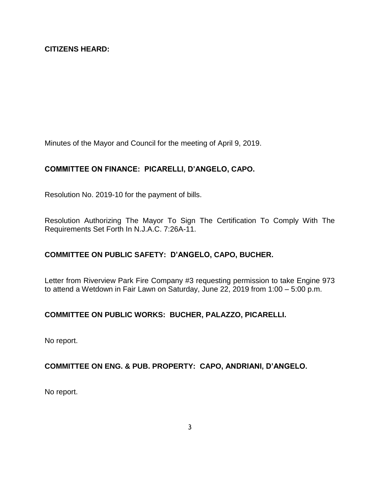Minutes of the Mayor and Council for the meeting of April 9, 2019.

# **COMMITTEE ON FINANCE: PICARELLI, D'ANGELO, CAPO.**

Resolution No. 2019-10 for the payment of bills.

Resolution Authorizing The Mayor To Sign The Certification To Comply With The Requirements Set Forth In N.J.A.C. 7:26A-11.

## **COMMITTEE ON PUBLIC SAFETY: D'ANGELO, CAPO, BUCHER.**

Letter from Riverview Park Fire Company #3 requesting permission to take Engine 973 to attend a Wetdown in Fair Lawn on Saturday, June 22, 2019 from 1:00 – 5:00 p.m.

## **COMMITTEE ON PUBLIC WORKS: BUCHER, PALAZZO, PICARELLI.**

No report.

## **COMMITTEE ON ENG. & PUB. PROPERTY: CAPO, ANDRIANI, D'ANGELO.**

No report.